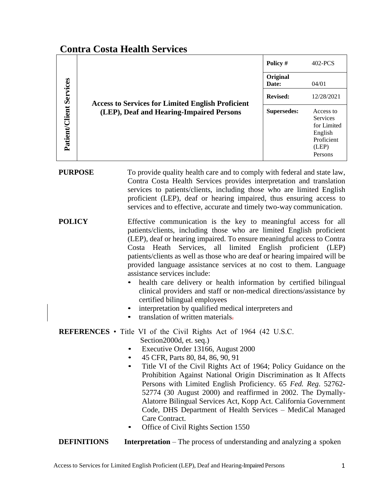# **Contra Costa Health Services**

| Patient/Client Services | <b>Access to Services for Limited English Proficient</b><br>(LEP), Deaf and Hearing-Impaired Persons | Policy #           | 402-PCS                                                                                  |
|-------------------------|------------------------------------------------------------------------------------------------------|--------------------|------------------------------------------------------------------------------------------|
|                         |                                                                                                      | Original<br>Date:  | 04/01                                                                                    |
|                         |                                                                                                      | <b>Revised:</b>    | 12/28/2021                                                                               |
|                         |                                                                                                      | <b>Supersedes:</b> | Access to<br><b>Services</b><br>for Limited<br>English<br>Proficient<br>(LEP)<br>Persons |

**PURPOSE** To provide quality health care and to comply with federal and state law, Contra Costa Health Services provides interpretation and translation services to patients/clients, including those who are limited English proficient (LEP), deaf or hearing impaired, thus ensuring access to services and to effective, accurate and timely two-way communication.

- **POLICY** Effective communication is the key to meaningful access for all patients/clients, including those who are limited English proficient (LEP), deaf or hearing impaired. To ensure meaningful access to Contra Costa Heath Services, all limited English proficient (LEP) patients/clients as well as those who are deaf or hearing impaired will be provided language assistance services at no cost to them. Language assistance services include:
	- health care delivery or health information by certified bilingual clinical providers and staff or non-medical directions/assistance by certified bilingual employees
	- interpretation by qualified medical interpreters and
	- translation of written materials.

## **REFERENCES** • Title VI of the Civil Rights Act of 1964 (42 U.S.C. Section2000d, et. seq.)

- Executive Order 13166, August 2000
- 45 CFR, Parts 80, 84, 86, 90, 91
- Title VI of the Civil Rights Act of 1964; Policy Guidance on the Prohibition Against National Origin Discrimination as It Affects Persons with Limited English Proficiency. 65 *Fed. Reg*. 52762- 52774 (30 August 2000) and reaffirmed in 2002. The Dymally-Alatorre Bilingual Services Act, Kopp Act. California Government Code, DHS Department of Health Services – MediCal Managed Care Contract.
- Office of Civil Rights Section 1550
- **DEFINITIONS** Interpretation The process of understanding and analyzing a spoken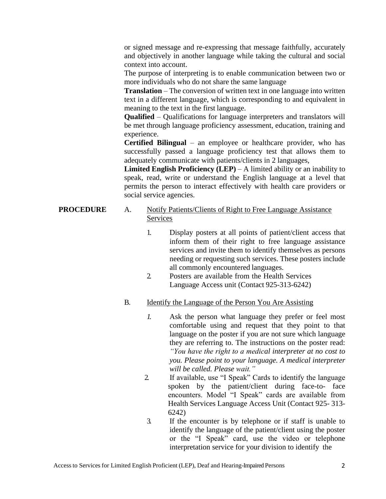or signed message and re-expressing that message faithfully, accurately and objectively in another language while taking the cultural and social context into account.

The purpose of interpreting is to enable communication between two or more individuals who do not share the same language

**Translation** – The conversion of written text in one language into written text in a different language, which is corresponding to and equivalent in meaning to the text in the first language.

**Qualified** – Qualifications for language interpreters and translators will be met through language proficiency assessment, education, training and experience.

**Certified Bilingual** – an employee or healthcare provider, who has successfully passed a language proficiency test that allows them to adequately communicate with patients/clients in 2 languages,

**Limited English Proficiency (LEP)** – A limited ability or an inability to speak, read, write or understand the English language at a level that permits the person to interact effectively with health care providers or social service agencies.

#### **PROCEDURE** A. Notify Patients/Clients of Right to Free Language Assistance Services

- 1. Display posters at all points of patient/client access that inform them of their right to free language assistance services and invite them to identify themselves as persons needing or requesting such services. These posters include all commonly encountered languages.
- 2. Posters are available from the Health Services Language Access unit (Contact 925-313-6242)

#### B. Identify the Language of the Person You Are Assisting

- *1.* Ask the person what language they prefer or feel most comfortable using and request that they point to that language on the poster if you are not sure which language they are referring to. The instructions on the poster read: *"You have the right to a medical interpreter at no cost to you. Please point to your language. A medical interpreter will be called. Please wait."*
- 2. If available, use "I Speak" Cards to identify the language spoken by the patient/client during face-to- face encounters. Model "I Speak" cards are available from Health Services Language Access Unit (Contact 925- 313- 6242)
- 3. If the encounter is by telephone or if staff is unable to identify the language of the patient/client using the poster or the "I Speak" card, use the video or telephone interpretation service for your division to identify the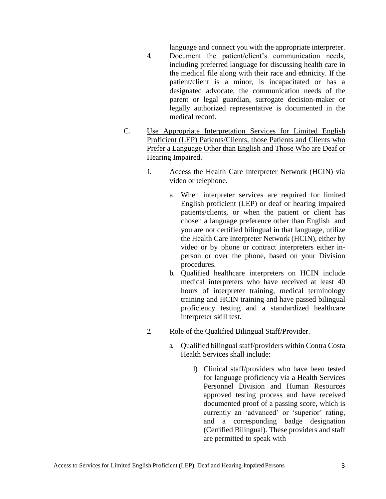language and connect you with the appropriate interpreter.

- 4. Document the patient/client's communication needs, including preferred language for discussing health care in the medical file along with their race and ethnicity. If the patient/client is a minor, is incapacitated or has a designated advocate, the communication needs of the parent or legal guardian, surrogate decision-maker or legally authorized representative is documented in the medical record.
- C. Use Appropriate Interpretation Services for Limited English Proficient (LEP) Patients/Clients, those Patients and Clients who Prefer a Language Other than English and Those Who are Deaf or Hearing Impaired.
	- 1. Access the Health Care Interpreter Network (HCIN) via video or telephone.
		- a. When interpreter services are required for limited English proficient (LEP) or deaf or hearing impaired patients/clients, or when the patient or client has chosen a language preference other than English and you are not certified bilingual in that language, utilize the Health Care Interpreter Network (HCIN), either by video or by phone or contract interpreters either inperson or over the phone, based on your Division procedures.
		- b. Qualified healthcare interpreters on HCIN include medical interpreters who have received at least 40 hours of interpreter training, medical terminology training and HCIN training and have passed bilingual proficiency testing and a standardized healthcare interpreter skill test.
	- 2. Role of the Qualified Bilingual Staff/Provider.
		- a. Qualified bilingual staff/providers within Contra Costa Health Services shall include:
			- 1) Clinical staff/providers who have been tested for language proficiency via a Health Services Personnel Division and Human Resources approved testing process and have received documented proof of a passing score, which is currently an 'advanced' or 'superior' rating, and a corresponding badge designation (Certified Bilingual). These providers and staff are permitted to speak with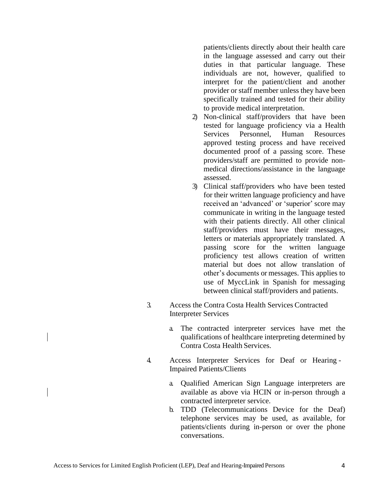patients/clients directly about their health care in the language assessed and carry out their duties in that particular language. These individuals are not, however, qualified to interpret for the patient/client and another provider or staff member unless they have been specifically trained and tested for their ability to provide medical interpretation.

- 2) Non-clinical staff/providers that have been tested for language proficiency via a Health Services Personnel, Human Resources approved testing process and have received documented proof of a passing score. These providers/staff are permitted to provide nonmedical directions/assistance in the language assessed.
- 3) Clinical staff/providers who have been tested for their written language proficiency and have received an 'advanced' or 'superior' score may communicate in writing in the language tested with their patients directly. All other clinical staff/providers must have their messages, letters or materials appropriately translated. A passing score for the written language proficiency test allows creation of written material but does not allow translation of other's documents or messages. This applies to use of MyccLink in Spanish for messaging between clinical staff/providers and patients.
- 3. Access the Contra Costa Health Services Contracted Interpreter Services
	- a. The contracted interpreter services have met the qualifications of healthcare interpreting determined by Contra Costa Health Services.
- 4. Access Interpreter Services for Deaf or Hearing Impaired Patients/Clients
	- a. Qualified American Sign Language interpreters are available as above via HCIN or in-person through a contracted interpreter service.
	- b. TDD (Telecommunications Device for the Deaf) telephone services may be used, as available, for patients/clients during in-person or over the phone conversations.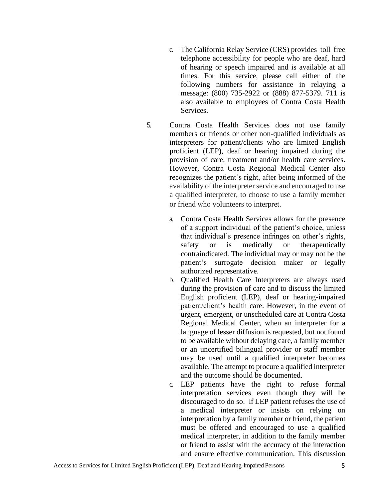- c. The California Relay Service (CRS) provides toll free telephone accessibility for people who are deaf, hard of hearing or speech impaired and is available at all times. For this service, please call either of the following numbers for assistance in relaying a message: (800) 735-2922 or (888) 877-5379. 711 is also available to employees of Contra Costa Health Services.
- 5. Contra Costa Health Services does not use family members or friends or other non-qualified individuals as interpreters for patient/clients who are limited English proficient (LEP), deaf or hearing impaired during the provision of care, treatment and/or health care services. However, Contra Costa Regional Medical Center also recognizes the patient's right, after being informed of the availability of the interpreter service and encouraged to use a qualified interpreter, to choose to use a family member or friend who volunteers to interpret.
	- a. Contra Costa Health Services allows for the presence of a support individual of the patient's choice, unless that individual's presence infringes on other's rights, safety or is medically or therapeutically contraindicated. The individual may or may not be the patient's surrogate decision maker or legally authorized representative.
	- b. Qualified Health Care Interpreters are always used during the provision of care and to discuss the limited English proficient (LEP), deaf or hearing-impaired patient/client's health care. However, in the event of urgent, emergent, or unscheduled care at Contra Costa Regional Medical Center, when an interpreter for a language of lesser diffusion is requested, but not found to be available without delaying care, a family member or an uncertified bilingual provider or staff member may be used until a qualified interpreter becomes available. The attempt to procure a qualified interpreter and the outcome should be documented.
	- c. LEP patients have the right to refuse formal interpretation services even though they will be discouraged to do so. If LEP patient refuses the use of a medical interpreter or insists on relying on interpretation by a family member or friend, the patient must be offered and encouraged to use a qualified medical interpreter, in addition to the family member or friend to assist with the accuracy of the interaction and ensure effective communication. This discussion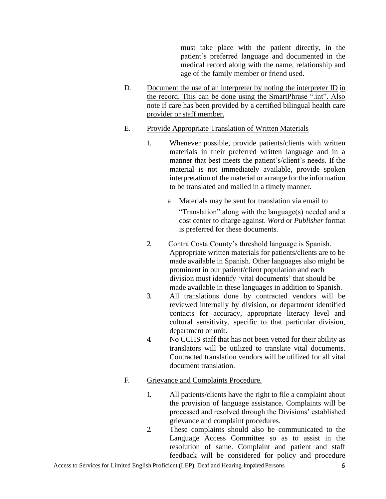must take place with the patient directly, in the patient's preferred language and documented in the medical record along with the name, relationship and age of the family member or friend used.

D. Document the use of an interpreter by noting the interpreter ID in the record. This can be done using the SmartPhrase ".int". Also note if care has been provided by a certified bilingual health care provider or staff member.

#### E. Provide Appropriate Translation of Written Materials

- 1. Whenever possible, provide patients/clients with written materials in their preferred written language and in a manner that best meets the patient's/client's needs. If the material is not immediately available, provide spoken interpretation of the material or arrange for the information to be translated and mailed in a timely manner.
	- a. Materials may be sent for translation via email to "Translation" along with the language(s) needed and a cost center to charge against. *Word* or *Publisher* format is preferred for these documents.
- 2. Contra Costa County's threshold language is Spanish. Appropriate written materials for patients/clients are to be made available in Spanish. Other languages also might be prominent in our patient/client population and each division must identify 'vital documents' that should be made available in these languages in addition to Spanish.
- 3. All translations done by contracted vendors will be reviewed internally by division, or department identified contacts for accuracy, appropriate literacy level and cultural sensitivity, specific to that particular division, department or unit.
- 4. No CCHS staff that has not been vetted for their ability as translators will be utilized to translate vital documents. Contracted translation vendors will be utilized for all vital document translation.

#### F. Grievance and Complaints Procedure.

- 1. All patients/clients have the right to file a complaint about the provision of language assistance. Complaints will be processed and resolved through the Divisions' established grievance and complaint procedures.
- 2. These complaints should also be communicated to the Language Access Committee so as to assist in the resolution of same. Complaint and patient and staff feedback will be considered for policy and procedure